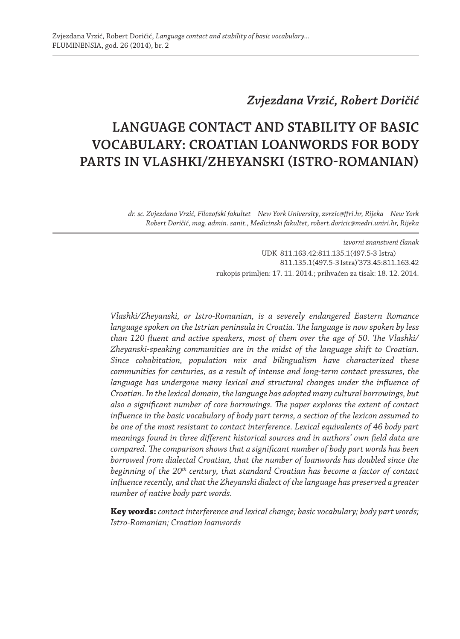## *Zvjezdana Vrzić, Robert Doričić*

# **LANGUAGE CONTACT AND STABILITY OF BASIC VOCABULARY: CROATIAN LOANWORDS FOR BODY PARTS IN VLASHKI/ZHEYANSKI (ISTRO-ROMANIAN)**

*dr. sc. Zvjezdana Vrzić, Filozofski fakultet – New York University, zvrzic@ffri.hr, Rijeka – New York Robert Doričić, mag. admin. sanit., Medicinski fakultet, robert.doricic@medri.uniri.hr, Rijeka*

> *izvorni znanstveni članak* UDK 811.163.42:811.135.1(497.5-3 Istra) 811.135.1(497.5-3 Istra)'373.45:811.163.42 rukopis primljen: 17. 11. 2014.; prihvaćen za tisak: 18. 12. 2014.

*Vlashki/Zheyanski, or Istro-Romanian, is a severely endangered Eastern Romance language spoken on the Istrian peninsula in Croatia. The language is now spoken by less than 120 fluent and active speakers, most of them over the age of 50. The Vlashki/ Zheyanski-speaking communities are in the midst of the language shift to Croatian. Since cohabitation, population mix and bilingualism have characterized these communities for centuries, as a result of intense and long-term contact pressures, the*  language has undergone many lexical and structural changes under the influence of *Croatian. In the lexical domain, the language has adopted many cultural borrowings, but also a significant number of core borrowings. The paper explores the extent of contact influence in the basic vocabulary of body part terms, a section of the lexicon assumed to be one of the most resistant to contact interference. Lexical equivalents of 46 body part meanings found in three different historical sources and in authors' own field data are compared. The comparison shows that a significant number of body part words has been borrowed from dialectal Croatian, that the number of loanwords has doubled since the beginning of the 20th century, that standard Croatian has become a factor of contact influence recently, and that the Zheyanski dialect of the language has preserved a greater number of native body part words.*

**Key words:** *contact interference and lexical change; basic vocabulary; body part words; Istro-Romanian; Croatian loanwords*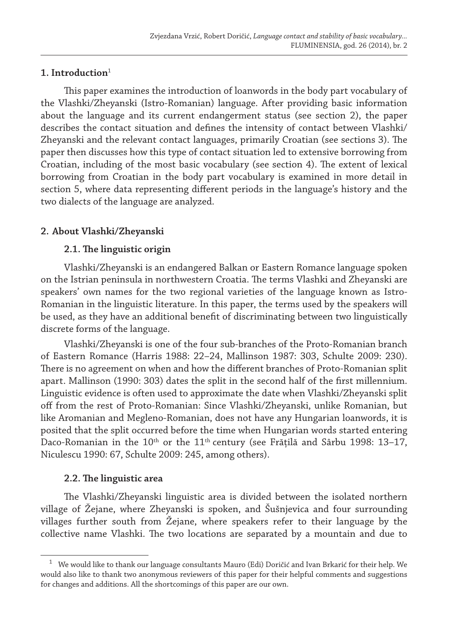### **1. Introduction**<sup>1</sup>

This paper examines the introduction of loanwords in the body part vocabulary of the Vlashki/Zheyanski (Istro-Romanian) language. After providing basic information about the language and its current endangerment status (see section 2), the paper describes the contact situation and defines the intensity of contact between Vlashki/ Zheyanski and the relevant contact languages, primarily Croatian (see sections 3). The paper then discusses how this type of contact situation led to extensive borrowing from Croatian, including of the most basic vocabulary (see section 4). The extent of lexical borrowing from Croatian in the body part vocabulary is examined in more detail in section 5, where data representing different periods in the language's history and the two dialects of the language are analyzed.

## **2. About Vlashki/Zheyanski**

## **2.1. The linguistic origin**

Vlashki/Zheyanski is an endangered Balkan or Eastern Romance language spoken on the Istrian peninsula in northwestern Croatia. The terms Vlashki and Zheyanski are speakers' own names for the two regional varieties of the language known as Istro-Romanian in the linguistic literature. In this paper, the terms used by the speakers will be used, as they have an additional benefit of discriminating between two linguistically discrete forms of the language.

Vlashki/Zheyanski is one of the four sub-branches of the Proto-Romanian branch of Eastern Romance (Harris 1988: 22–24, Mallinson 1987: 303, Schulte 2009: 230). There is no agreement on when and how the different branches of Proto-Romanian split apart. Mallinson (1990: 303) dates the split in the second half of the first millennium. Linguistic evidence is often used to approximate the date when Vlashki/Zheyanski split off from the rest of Proto-Romanian: Since Vlashki/Zheyanski, unlike Romanian, but like Aromanian and Megleno-Romanian, does not have any Hungarian loanwords, it is posited that the split occurred before the time when Hungarian words started entering Daco-Romanian in the  $10^{th}$  or the  $11^{th}$  century (see Frățilă and Sârbu 1998: 13-17, Niculescu 1990: 67, Schulte 2009: 245, among others).

## **2.2. The linguistic area**

The Vlashki/Zheyanski linguistic area is divided between the isolated northern village of Žejane, where Zheyanski is spoken, and Šušnjevica and four surrounding villages further south from Žejane, where speakers refer to their language by the collective name Vlashki. The two locations are separated by a mountain and due to

 $1$  We would like to thank our language consultants Mauro (Edi) Doričić and Ivan Brkarić for their help. We would also like to thank two anonymous reviewers of this paper for their helpful comments and suggestions for changes and additions. All the shortcomings of this paper are our own.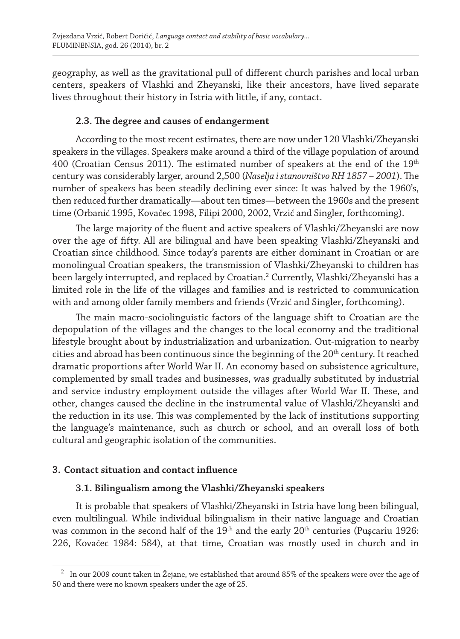geography, as well as the gravitational pull of different church parishes and local urban centers, speakers of Vlashki and Zheyanski, like their ancestors, have lived separate lives throughout their history in Istria with little, if any, contact.

### **2.3. The degree and causes of endangerment**

According to the most recent estimates, there are now under 120 Vlashki/Zheyanski speakers in the villages. Speakers make around a third of the village population of around 400 (Croatian Census 2011). The estimated number of speakers at the end of the  $19<sup>th</sup>$ century was considerably larger, around 2,500 (*Naselja i stanovništvo RH 1857 – 2001*). The number of speakers has been steadily declining ever since: It was halved by the 1960's, then reduced further dramatically—about ten times—between the 1960s and the present time (Orbanić 1995, Kovačec 1998, Filipi 2000, 2002, Vrzić and Singler, forthcoming).

The large majority of the fluent and active speakers of Vlashki/Zheyanski are now over the age of fifty. All are bilingual and have been speaking Vlashki/Zheyanski and Croatian since childhood. Since today's parents are either dominant in Croatian or are monolingual Croatian speakers, the transmission of Vlashki/Zheyanski to children has been largely interrupted, and replaced by Croatian.<sup>2</sup> Currently, Vlashki/Zheyanski has a limited role in the life of the villages and families and is restricted to communication with and among older family members and friends (Vrzić and Singler, forthcoming).

The main macro-sociolinguistic factors of the language shift to Croatian are the depopulation of the villages and the changes to the local economy and the traditional lifestyle brought about by industrialization and urbanization. Out-migration to nearby cities and abroad has been continuous since the beginning of the 20th century. It reached dramatic proportions after World War II. An economy based on subsistence agriculture, complemented by small trades and businesses, was gradually substituted by industrial and service industry employment outside the villages after World War II. These, and other, changes caused the decline in the instrumental value of Vlashki/Zheyanski and the reduction in its use. This was complemented by the lack of institutions supporting the language's maintenance, such as church or school, and an overall loss of both cultural and geographic isolation of the communities.

#### **3. Contact situation and contact influence**

## **3.1. Bilingualism among the Vlashki/Zheyanski speakers**

It is probable that speakers of Vlashki/Zheyanski in Istria have long been bilingual, even multilingual. While individual bilingualism in their native language and Croatian was common in the second half of the  $19<sup>th</sup>$  and the early  $20<sup>th</sup>$  centuries (Puscariu 1926: 226, Kovačec 1984: 584), at that time, Croatian was mostly used in church and in

<sup>2</sup> In our 2009 count taken in Žejane, we established that around 85% of the speakers were over the age of 50 and there were no known speakers under the age of 25.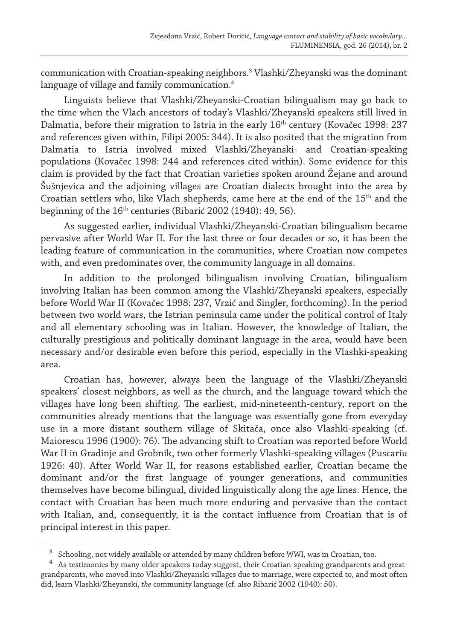communication with Croatian-speaking neighbors.3 Vlashki/Zheyanski was the dominant language of village and family communication.4

Linguists believe that Vlashki/Zheyanski-Croatian bilingualism may go back to the time when the Vlach ancestors of today's Vlashki/Zheyanski speakers still lived in Dalmatia, before their migration to Istria in the early 16<sup>th</sup> century (Kovačec 1998: 237 and references given within, Filipi 2005: 344). It is also posited that the migration from Dalmatia to Istria involved mixed Vlashki/Zheyanski- and Croatian-speaking populations (Kovačec 1998: 244 and references cited within). Some evidence for this claim is provided by the fact that Croatian varieties spoken around Žejane and around Šušnjevica and the adjoining villages are Croatian dialects brought into the area by Croatian settlers who, like Vlach shepherds, came here at the end of the 15<sup>th</sup> and the beginning of the 16<sup>th</sup> centuries (Ribarić 2002 (1940): 49, 56).

As suggested earlier, individual Vlashki/Zheyanski-Croatian bilingualism became pervasive after World War II. For the last three or four decades or so, it has been the leading feature of communication in the communities, where Croatian now competes with, and even predominates over, the community language in all domains.

In addition to the prolonged bilingualism involving Croatian, bilingualism involving Italian has been common among the Vlashki/Zheyanski speakers, especially before World War II (Kovačec 1998: 237, Vrzić and Singler, forthcoming). In the period between two world wars, the Istrian peninsula came under the political control of Italy and all elementary schooling was in Italian. However, the knowledge of Italian, the culturally prestigious and politically dominant language in the area, would have been necessary and/or desirable even before this period, especially in the Vlashki-speaking area.

Croatian has, however, always been the language of the Vlashki/Zheyanski speakers' closest neighbors, as well as the church, and the language toward which the villages have long been shifting. The earliest, mid-nineteenth-century, report on the communities already mentions that the language was essentially gone from everyday use in a more distant southern village of Skitača, once also Vlashki-speaking (cf. Maiorescu 1996 (1900): 76). The advancing shift to Croatian was reported before World War II in Gradinje and Grobnik, two other formerly Vlashki-speaking villages (Puscariu 1926: 40). After World War II, for reasons established earlier, Croatian became the dominant and/or the first language of younger generations, and communities themselves have become bilingual, divided linguistically along the age lines. Hence, the contact with Croatian has been much more enduring and pervasive than the contact with Italian, and, consequently, it is the contact influence from Croatian that is of principal interest in this paper.

 $3$  Schooling, not widely available or attended by many children before WWI, was in Croatian, too.  $4$  As testimonies by many older speakers today suggest, their Croatian-speaking grandparents and greatgrandparents, who moved into Vlashki/Zheyanski villages due to marriage, were expected to, and most often did, learn Vlashki/Zheyanski, *the* community language (cf. also Ribarić 2002 (1940): 50).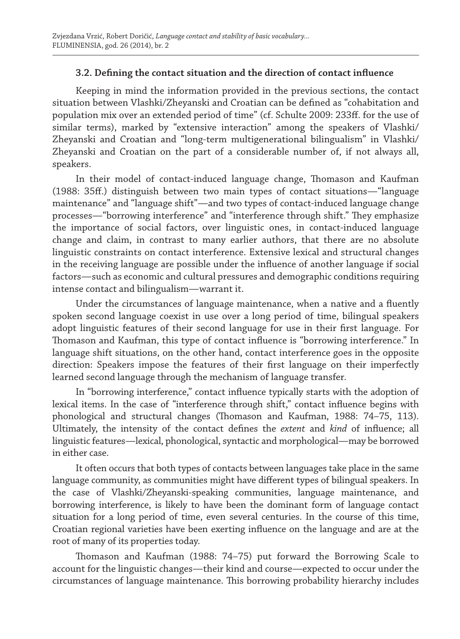## **3.2. Defining the contact situation and the direction of contact influence**

Keeping in mind the information provided in the previous sections, the contact situation between Vlashki/Zheyanski and Croatian can be defined as "cohabitation and population mix over an extended period of time" (cf. Schulte 2009: 233ff. for the use of similar terms), marked by "extensive interaction" among the speakers of Vlashki/ Zheyanski and Croatian and "long-term multigenerational bilingualism" in Vlashki/ Zheyanski and Croatian on the part of a considerable number of, if not always all, speakers.

In their model of contact-induced language change, Thomason and Kaufman (1988: 35ff.) distinguish between two main types of contact situations—"language maintenance" and "language shift"—and two types of contact-induced language change processes—"borrowing interference" and "interference through shift." They emphasize the importance of social factors, over linguistic ones, in contact-induced language change and claim, in contrast to many earlier authors, that there are no absolute linguistic constraints on contact interference. Extensive lexical and structural changes in the receiving language are possible under the influence of another language if social factors—such as economic and cultural pressures and demographic conditions requiring intense contact and bilingualism—warrant it.

Under the circumstances of language maintenance, when a native and a fluently spoken second language coexist in use over a long period of time, bilingual speakers adopt linguistic features of their second language for use in their first language. For Thomason and Kaufman, this type of contact influence is "borrowing interference." In language shift situations, on the other hand, contact interference goes in the opposite direction: Speakers impose the features of their first language on their imperfectly learned second language through the mechanism of language transfer.

In "borrowing interference," contact influence typically starts with the adoption of lexical items. In the case of "interference through shift," contact influence begins with phonological and structural changes (Thomason and Kaufman, 1988: 74–75, 113). Ultimately, the intensity of the contact defines the *extent* and *kind* of influence; all linguistic features—lexical, phonological, syntactic and morphological—may be borrowed in either case.

It often occurs that both types of contacts between languages take place in the same language community, as communities might have different types of bilingual speakers. In the case of Vlashki/Zheyanski-speaking communities, language maintenance, and borrowing interference, is likely to have been the dominant form of language contact situation for a long period of time, even several centuries. In the course of this time, Croatian regional varieties have been exerting influence on the language and are at the root of many of its properties today.

Thomason and Kaufman (1988: 74–75) put forward the Borrowing Scale to account for the linguistic changes—their kind and course—expected to occur under the circumstances of language maintenance. This borrowing probability hierarchy includes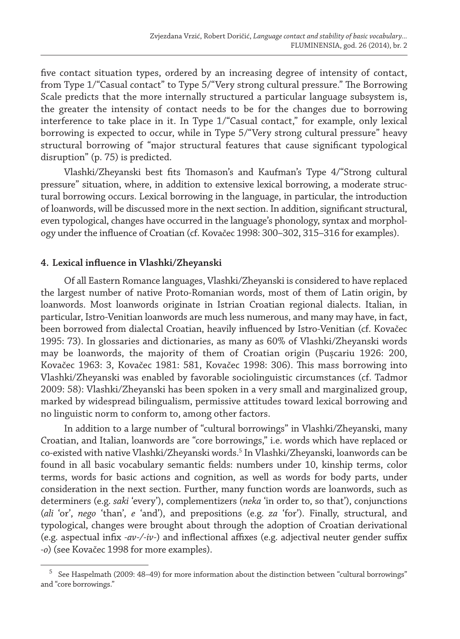five contact situation types, ordered by an increasing degree of intensity of contact, from Type 1/"Casual contact" to Type 5/"Very strong cultural pressure." The Borrowing Scale predicts that the more internally structured a particular language subsystem is, the greater the intensity of contact needs to be for the changes due to borrowing interference to take place in it. In Type 1/"Casual contact," for example, only lexical borrowing is expected to occur, while in Type 5/"Very strong cultural pressure" heavy structural borrowing of "major structural features that cause significant typological disruption" (p. 75) is predicted.

Vlashki/Zheyanski best fits Thomason's and Kaufman's Type 4/"Strong cultural pressure" situation, where, in addition to extensive lexical borrowing, a moderate structural borrowing occurs. Lexical borrowing in the language, in particular, the introduction of loanwords, will be discussed more in the next section. In addition, significant structural, even typological, changes have occurred in the language's phonology, syntax and morphology under the influence of Croatian (cf. Kovačec 1998: 300–302, 315–316 for examples).

#### **4. Lexical influence in Vlashki/Zheyanski**

Of all Eastern Romance languages, Vlashki/Zheyanski is considered to have replaced the largest number of native Proto-Romanian words, most of them of Latin origin, by loanwords. Most loanwords originate in Istrian Croatian regional dialects. Italian, in particular, Istro-Venitian loanwords are much less numerous, and many may have, in fact, been borrowed from dialectal Croatian, heavily influenced by Istro-Venitian (cf. Kovačec 1995: 73). In glossaries and dictionaries, as many as 60% of Vlashki/Zheyanski words may be loanwords, the majority of them of Croatian origin (Pușcariu 1926: 200, Kovačec 1963: 3, Kovačec 1981: 581, Kovačec 1998: 306). This mass borrowing into Vlashki/Zheyanski was enabled by favorable sociolinguistic circumstances (cf. Tadmor 2009: 58): Vlashki/Zheyanski has been spoken in a very small and marginalized group, marked by widespread bilingualism, permissive attitudes toward lexical borrowing and no linguistic norm to conform to, among other factors.

In addition to a large number of "cultural borrowings" in Vlashki/Zheyanski, many Croatian, and Italian, loanwords are "core borrowings," i.e. words which have replaced or co-existed with native Vlashki/Zheyanski words.<sup>5</sup> In Vlashki/Zheyanski, loanwords can be found in all basic vocabulary semantic fields: numbers under 10, kinship terms, color terms, words for basic actions and cognition, as well as words for body parts, under consideration in the next section. Further, many function words are loanwords, such as determiners (e.g. *saki* 'every'), complementizers (*neka* 'in order to, so that'), conjunctions (*ali* 'or', *nego* 'than', *e* 'and'), and prepositions (e.g. *za* 'for'). Finally, structural, and typological, changes were brought about through the adoption of Croatian derivational (e.g. aspectual infix *-av-/-iv-*) and inflectional affixes (e.g. adjectival neuter gender suffix *-o*) (see Kovačec 1998 for more examples).

<sup>5</sup> See Haspelmath (2009: 48–49) for more information about the distinction between "cultural borrowings" and "core borrowings."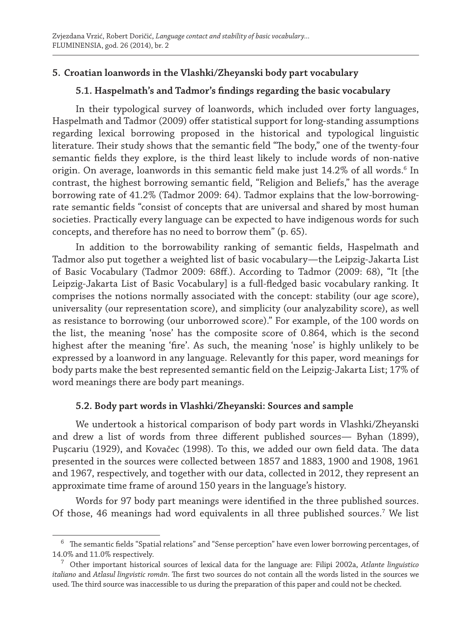## **5. Croatian loanwords in the Vlashki/Zheyanski body part vocabulary**

## **5.1. Haspelmath's and Tadmor's findings regarding the basic vocabulary**

In their typological survey of loanwords, which included over forty languages, Haspelmath and Tadmor (2009) offer statistical support for long-standing assumptions regarding lexical borrowing proposed in the historical and typological linguistic literature. Their study shows that the semantic field "The body," one of the twenty-four semantic fields they explore, is the third least likely to include words of non-native origin. On average, loanwords in this semantic field make just  $14.2\%$  of all words. $^6$  In contrast, the highest borrowing semantic field, "Religion and Beliefs," has the average borrowing rate of 41.2% (Tadmor 2009: 64). Tadmor explains that the low-borrowingrate semantic fields "consist of concepts that are universal and shared by most human societies. Practically every language can be expected to have indigenous words for such concepts, and therefore has no need to borrow them" (p. 65).

In addition to the borrowability ranking of semantic fields, Haspelmath and Tadmor also put together a weighted list of basic vocabulary—the Leipzig-Jakarta List of Basic Vocabulary (Tadmor 2009: 68ff.). According to Tadmor (2009: 68), "It [the Leipzig-Jakarta List of Basic Vocabulary] is a full-fledged basic vocabulary ranking. It comprises the notions normally associated with the concept: stability (our age score), universality (our representation score), and simplicity (our analyzability score), as well as resistance to borrowing (our unborrowed score)." For example, of the 100 words on the list, the meaning 'nose' has the composite score of 0.864, which is the second highest after the meaning 'fire'. As such, the meaning 'nose' is highly unlikely to be expressed by a loanword in any language. Relevantly for this paper, word meanings for body parts make the best represented semantic field on the Leipzig-Jakarta List; 17% of word meanings there are body part meanings.

#### **5.2. Body part words in Vlashki/Zheyanski: Sources and sample**

We undertook a historical comparison of body part words in Vlashki/Zheyanski and drew a list of words from three different published sources— Byhan (1899), Puşcariu (1929), and Kovačec (1998). To this, we added our own field data. The data presented in the sources were collected between 1857 and 1883, 1900 and 1908, 1961 and 1967, respectively, and together with our data, collected in 2012, they represent an approximate time frame of around 150 years in the language's history.

Words for 97 body part meanings were identified in the three published sources. Of those, 46 meanings had word equivalents in all three published sources.<sup>7</sup> We list

<sup>6</sup> The semantic fields "Spatial relations" and "Sense perception" have even lower borrowing percentages, of 14.0% and 11.0% respectively.

<sup>7</sup> Other important historical sources of lexical data for the language are: Filipi 2002a, *Atlante linguistico italiano* and *Atlasul lingvistic român*. The first two sources do not contain all the words listed in the sources we used. The third source was inaccessible to us during the preparation of this paper and could not be checked.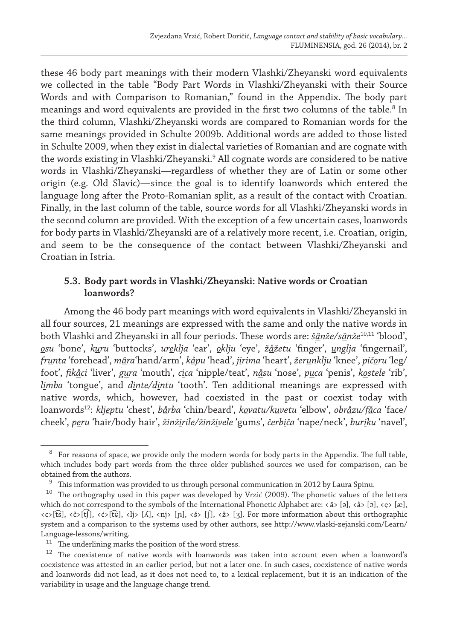these 46 body part meanings with their modern Vlashki/Zheyanski word equivalents we collected in the table "Body Part Words in Vlashki/Zheyanski with their Source Words and with Comparison to Romanian," found in the Appendix. The body part meanings and word equivalents are provided in the first two columns of the table. $^8$  In the third column, Vlashki/Zheyanski words are compared to Romanian words for the same meanings provided in Schulte 2009b. Additional words are added to those listed in Schulte 2009, when they exist in dialectal varieties of Romanian and are cognate with the words existing in Vlashki/Zheyanski.9 All cognate words are considered to be native words in Vlashki/Zheyanski—regardless of whether they are of Latin or some other origin (e.g. Old Slavic)—since the goal is to identify loanwords which entered the language long after the Proto-Romanian split, as a result of the contact with Croatian. Finally, in the last column of the table, source words for all Vlashki/Zheyanski words in the second column are provided. With the exception of a few uncertain cases, loanwords for body parts in Vlashki/Zheyanski are of a relatively more recent, i.e. Croatian, origin, and seem to be the consequence of the contact between Vlashki/Zheyanski and Croatian in Istria.

## **5.3. Body part words in Vlashki/Zheyanski: Native words or Croatian loanwords?**

Among the 46 body part meanings with word equivalents in Vlashki/Zheyanski in all four sources, 21 meanings are expressed with the same and only the native words in both Vlashki and Zheyanski in all four periods. These words are: *š*ì *anže/s*ì *anže*10,11 'blood', *osu* 'bone', *kuru* 'buttocks', *ureklja* 'ear', *oklju* 'eye', *žåžetu* 'finger', *unglja* 'fingernail', *frunta* 'forehead', *m*ì *ara*'hand/arm', *kåpu* 'head', *jirima* 'heart', *žerunklju* 'knee', *pičoru* 'leg/ foot', *fikåci* 'liver', *gura* 'mouth', *cica* 'nipple/teat', *nåsu* 'nose', *puca* 'penis', *kostele* 'rib', *limba* 'tongue', and *dinte/dintu* 'tooth'. Ten additional meanings are expressed with native words, which, however, had coexisted in the past or coexist today with loanwords12: *kljeptu* 'chest', *bårba* 'chin/beard', *kovatu/kuvetu* 'elbow', *obråzu/fåca* 'face/ cheek', *peru* 'hair/body hair', *žinžirile/žinživele* 'gums', *čerbiča* 'nape/neck', *buriku* 'navel',

<sup>&</sup>lt;sup>8</sup> For reasons of space, we provide only the modern words for body parts in the Appendix. The full table, which includes body part words from the three older published sources we used for comparison, can be obtained from the authors.<br> $\frac{9}{2}$  This information was

<sup>&</sup>lt;sup>9</sup> This information was provided to us through personal communication in 2012 by Laura Spinu.<br><sup>10</sup> The orthography used in this paper was developed by Vrzić (2009). The phonetic values of th

The orthography used in this paper was developed by Vrzić (2009). The phonetic values of the letters which do not correspond to the symbols of the International Phonetic Alphabet are: < â> [ə], <å> [ɔ], <e> [æ],  $\langle c \rangle$ [t͡s],  $\langle \dot{\xi} \rangle$ [t͡ʃ],  $\langle \dot{\xi} \rangle$ [c͡],  $\langle \dot{\xi} \rangle$  [n͡],  $\langle \dot{\xi} \rangle$  [n͡],  $\langle \dot{\xi} \rangle$  [x͡]. For more information about this orthographic system and a comparison to the systems used by other authors, see http://www.vlaski-zejanski.com/Learn/ Language-lessons/writing.

 $11$  The underlining marks the position of the word stress.

<sup>12</sup> The coexistence of native words with loanwords was taken into account even when a loanword's coexistence was attested in an earlier period, but not a later one. In such cases, coexistence of native words and loanwords did not lead, as it does not need to, to a lexical replacement, but it is an indication of the variability in usage and the language change trend.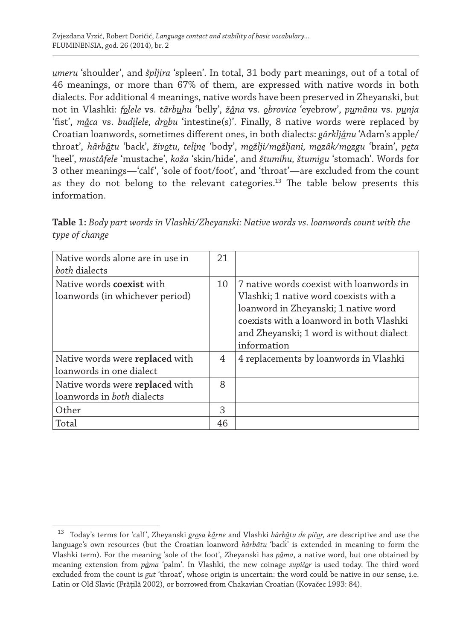*umeru* 'shoulder', and *špljira* 'spleen'. In total, 31 body part meanings, out of a total of 46 meanings, or more than 67% of them, are expressed with native words in both dialects. For additional 4 meanings, native words have been preserved in Zheyanski, but not in Vlashki: *folele* vs. *t*ì *arbuhu* 'belly', *žåna* vs. *obrovica* 'eyebrow', *pum*ì *anu* vs. *punja*  'fist', *måca* vs. *budilele, drobu* 'intestine(s)'. Finally, 8 native words were replaced by Croatian loanwords, sometimes different ones, in both dialects: *g*ì *arkljånu* 'Adam's apple/ throat', *h*ì *arb*ì *atu* 'back', *životu, telinę* 'body', *možlji/možljani, moz*ì *ak/mozgu* 'brain', *peta* 'heel', *muståfele* 'mustache', *koža* 'skin/hide', and *štumihu, štumigu* 'stomach'. Words for 3 other meanings—'calf', 'sole of foot/foot', and 'throat'—are excluded from the count as they do not belong to the relevant categories.13 The table below presents this information.

**Table 1:** *Body part words in Vlashki/Zheyanski: Native words vs. loanwords count with the type of change* 

| Native words alone are in use in<br>both dialects                           | 21 |                                                                                                                                                                                                                                   |
|-----------------------------------------------------------------------------|----|-----------------------------------------------------------------------------------------------------------------------------------------------------------------------------------------------------------------------------------|
| Native words coexist with<br>loanwords (in whichever period)                | 10 | 7 native words coexist with loanwords in<br>Vlashki; 1 native word coexists with a<br>loanword in Zheyanski; 1 native word<br>coexists with a loanword in both Vlashki<br>and Zheyanski; 1 word is without dialect<br>information |
| Native words were <b>replaced</b> with<br>loanwords in one dialect          | 4  | 4 replacements by loanwords in Vlashki                                                                                                                                                                                            |
| Native words were <b>replaced</b> with<br>loanwords in <i>both</i> dialects | 8  |                                                                                                                                                                                                                                   |
| Other                                                                       | 3  |                                                                                                                                                                                                                                   |
| Total                                                                       | 46 |                                                                                                                                                                                                                                   |

<sup>13</sup> Today's terms for 'calf', Zheyanski *grosa kårne* and Vlashki *hârb*<sup>ì</sup> *atu de pičor,* are descriptive and use the language's own resources (but the Croatian loanword *hârb<u>â</u>tu* 'back' is extended in meaning to form the Vlashki term). For the meaning 'sole of the foot', Zheyanski has *påma*, a native word, but one obtained by meaning extension from *påma* 'palm'. In Vlashki, the new coinage *supičor* is used today. The third word excluded from the count is *gut* 'throat', whose origin is uncertain: the word could be native in our sense, i.e. Latin or Old Slavic (Frăţilă 2002), or borrowed from Chakavian Croatian (Kovačec 1993: 84).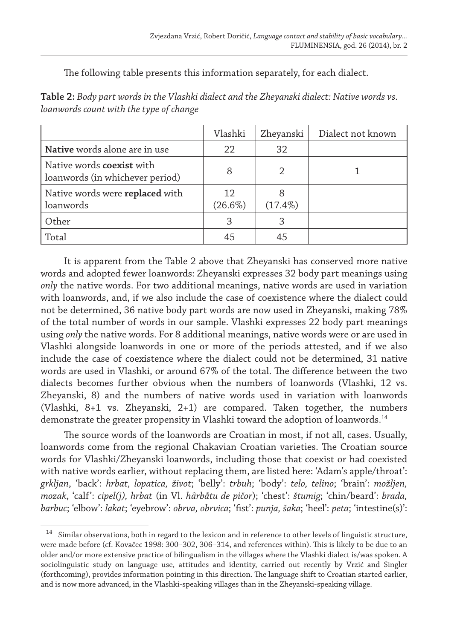The following table presents this information separately, for each dialect.

| <b>Table 2:</b> Body part words in the Vlashki dialect and the Zheyanski dialect: Native words vs. |  |
|----------------------------------------------------------------------------------------------------|--|
| loanwords count with the type of change                                                            |  |

|                                                                     | Vlashki          | Zheyanski  | Dialect not known |
|---------------------------------------------------------------------|------------------|------------|-------------------|
| Native words alone are in use                                       | 22               | 32         |                   |
| Native words <b>coexist</b> with<br>loanwords (in whichever period) | 8                |            |                   |
| Native words were replaced with<br>loanwords                        | 12<br>$(26.6\%)$ | $(17.4\%)$ |                   |
| Other                                                               | 3                | 3          |                   |
| Total                                                               | 45               | 45         |                   |

It is apparent from the Table 2 above that Zheyanski has conserved more native words and adopted fewer loanwords: Zheyanski expresses 32 body part meanings using *only* the native words. For two additional meanings, native words are used in variation with loanwords, and, if we also include the case of coexistence where the dialect could not be determined, 36 native body part words are now used in Zheyanski, making 78% of the total number of words in our sample. Vlashki expresses 22 body part meanings using *only* the native words. For 8 additional meanings, native words were or are used in Vlashki alongside loanwords in one or more of the periods attested, and if we also include the case of coexistence where the dialect could not be determined, 31 native words are used in Vlashki, or around 67% of the total. The difference between the two dialects becomes further obvious when the numbers of loanwords (Vlashki, 12 vs. Zheyanski, 8) and the numbers of native words used in variation with loanwords (Vlashki, 8+1 vs. Zheyanski, 2+1) are compared. Taken together, the numbers demonstrate the greater propensity in Vlashki toward the adoption of loanwords.<sup>14</sup>

The source words of the loanwords are Croatian in most, if not all, cases. Usually, loanwords come from the regional Chakavian Croatian varieties. The Croatian source words for Vlashki/Zheyanski loanwords, including those that coexist or had coexisted with native words earlier, without replacing them, are listed here: 'Adam's apple/throat': *grkljan*, 'back': *hrbat, lopatica, život*; 'belly': *trbuh*; 'body': *telo, telino*; 'brain': *možljen, mozak*, 'calf': *cipel(j), hrbat* (in Vl. *h*ì *arbåtu de pičor*); 'chest': *štumig*; 'chin/beard': *brada, barbuc*; 'elbow': *lakat*; 'eyebrow': *obrva, obrvica*; 'fist': *punja, šaka*; 'heel': *peta*; 'intestine(s)':

<sup>14</sup> Similar observations, both in regard to the lexicon and in reference to other levels of linguistic structure, were made before (cf. Kovačec 1998: 300–302, 306–314, and references within). This is likely to be due to an older and/or more extensive practice of bilingualism in the villages where the Vlashki dialect is/was spoken. A sociolinguistic study on language use, attitudes and identity, carried out recently by Vrzić and Singler (forthcoming), provides information pointing in this direction. The language shift to Croatian started earlier, and is now more advanced, in the Vlashki-speaking villages than in the Zheyanski-speaking village.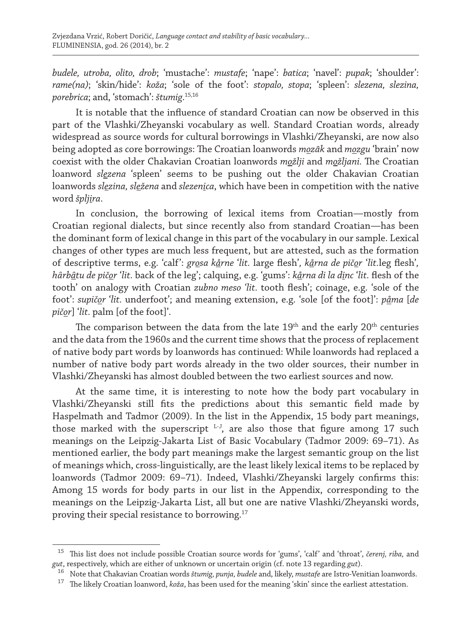*budele, utroba, olito, drob*; 'mustache': *mustafe*; 'nape': *batica*; 'navel': *pupak*; 'shoulder': *rame(na)*; 'skin/hide': *koža*; 'sole of the foot': *stopalo, stopa*; 'spleen': *slezena, slezina, porebrica*; and, 'stomach': *štumig*. 15,16

It is notable that the influence of standard Croatian can now be observed in this part of the Vlashki/Zheyanski vocabulary as well. Standard Croatian words, already widespread as source words for cultural borrowings in Vlashki/Zheyanski, are now also being adopted as core borrowings: The Croatian loanwords *moz*ì *ak* and *mozgu* 'brain' now coexist with the older Chakavian Croatian loanwords *možlji* and *možljani.* The Croatian loanword *slezena* 'spleen' seems to be pushing out the older Chakavian Croatian loanwords *slezina, sležena* and *slezenica*, which have been in competition with the native word *špljira*.

In conclusion, the borrowing of lexical items from Croatian—mostly from Croatian regional dialects, but since recently also from standard Croatian—has been the dominant form of lexical change in this part of the vocabulary in our sample. Lexical changes of other types are much less frequent, but are attested, such as the formation of descriptive terms, e.g. 'calf': *grosa kårne* '*lit.* large flesh'*, kårna de pičor* '*lit.*leg flesh'*, h*ì *arb*ì *atu de pičor* '*lit.* back of the leg'; calquing, e.g. 'gums': *kårna di la dinc* '*lit.* flesh of the tooth' on analogy with Croatian *zubno meso 'lit.* tooth flesh'; coinage, e.g. 'sole of the foot': *supičor* '*lit.* underfoot'; and meaning extension, e.g. 'sole [of the foot]': *påma* [*de pičor*] '*lit.* palm [of the foot]'.

The comparison between the data from the late  $19<sup>th</sup>$  and the early  $20<sup>th</sup>$  centuries and the data from the 1960s and the current time shows that the process of replacement of native body part words by loanwords has continued: While loanwords had replaced a number of native body part words already in the two older sources, their number in Vlashki/Zheyanski has almost doubled between the two earliest sources and now.

At the same time, it is interesting to note how the body part vocabulary in Vlashki/Zheyanski still fits the predictions about this semantic field made by Haspelmath and Tadmor (2009). In the list in the Appendix, 15 body part meanings, those marked with the superscript L-J, are also those that figure among 17 such meanings on the Leipzig-Jakarta List of Basic Vocabulary (Tadmor 2009: 69–71). As mentioned earlier, the body part meanings make the largest semantic group on the list of meanings which, cross-linguistically, are the least likely lexical items to be replaced by loanwords (Tadmor 2009: 69–71). Indeed, Vlashki/Zheyanski largely confirms this: Among 15 words for body parts in our list in the Appendix, corresponding to the meanings on the Leipzig-Jakarta List, all but one are native Vlashki/Zheyanski words, proving their special resistance to borrowing.17

<sup>15</sup> This list does not include possible Croatian source words for 'gums', 'calf' and 'throat', *čerenj, riba,* and *gut*, respectively, which are either of unknown or uncertain origin (cf. note 13 regarding *gut*).

<sup>16</sup> Note that Chakavian Croatian words *štumig, punja, budele* and, likely, *mustafe* are Istro-Venitian loanwords.

<sup>17</sup> The likely Croatian loanword, *koža*, has been used for the meaning 'skin' since the earliest attestation.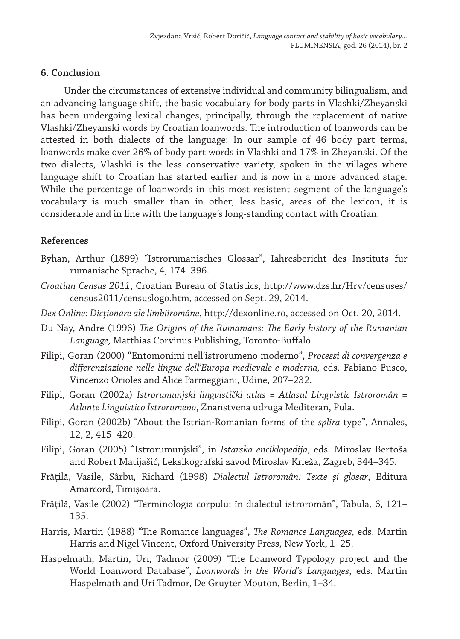#### **6. Conclusion**

Under the circumstances of extensive individual and community bilingualism, and an advancing language shift, the basic vocabulary for body parts in Vlashki/Zheyanski has been undergoing lexical changes, principally, through the replacement of native Vlashki/Zheyanski words by Croatian loanwords. The introduction of loanwords can be attested in both dialects of the language: In our sample of 46 body part terms, loanwords make over 26% of body part words in Vlashki and 17% in Zheyanski. Of the two dialects, Vlashki is the less conservative variety, spoken in the villages where language shift to Croatian has started earlier and is now in a more advanced stage. While the percentage of loanwords in this most resistent segment of the language's vocabulary is much smaller than in other, less basic, areas of the lexicon, it is considerable and in line with the language's long-standing contact with Croatian.

#### **References**

- Byhan, Arthur (1899) "Istrorumänisches Glossar", Iahresbericht des Instituts für rumänische Sprache, 4, 174–396.
- *Croatian Census 2011*, Croatian Bureau of Statistics, http://www.dzs.hr/Hrv/censuses/ census2011/censuslogo.htm, accessed on Sept. 29, 2014.
- *Dex Online: Dicţionare ale limbiiromâne*, http://dexonline.ro, accessed on Oct. 20, 2014.
- Du Nay, André (1996) *The Origins of the Rumanians: The Early history of the Rumanian Language,* Matthias Corvinus Publishing, Toronto-Buffalo.
- Filipi, Goran (2000) "Entomonimi nell'istrorumeno moderno", *Processi di convergenza e differenziazione nelle lingue dell'Europa medievale e moderna,* eds. Fabiano Fusco, Vincenzo Orioles and Alice Parmeggiani, Udine, 207–232.
- Filipi, Goran (2002a) *Istrorumunjski lingvistički atlas = Atlasul Lingvistic Istroromân = Atlante Linguistico Istrorumeno*, Znanstvena udruga Mediteran, Pula.
- Filipi, Goran (2002b) "About the Istrian-Romanian forms of the *splira* type", Annales, 12, 2, 415–420.
- Filipi, Goran (2005) "Istrorumunjski", in *Istarska enciklopedija,* eds. Miroslav Bertoša and Robert Matijašić, Leksikografski zavod Miroslav Krleža, Zagreb, 344–345.
- Frăţilă, Vasile, Sârbu, Richard (1998) *Dialectul Istroromân: Texte şi glosar*, Editura Amarcord, Timişoara.
- Frăţilă, Vasile (2002) "Terminologia corpului în dialectul istroromân", Tabula*,* 6, 121– 135.
- Harris, Martin (1988) "The Romance languages", *The Romance Languages,* eds. Martin Harris and Nigel Vincent, Oxford University Press, New York, 1–25.
- Haspelmath, Martin, Uri, Tadmor (2009) "The Loanword Typology project and the World Loanword Database", *Loanwords in the World's Languages*, eds. Martin Haspelmath and Uri Tadmor, De Gruyter Mouton, Berlin, 1–34.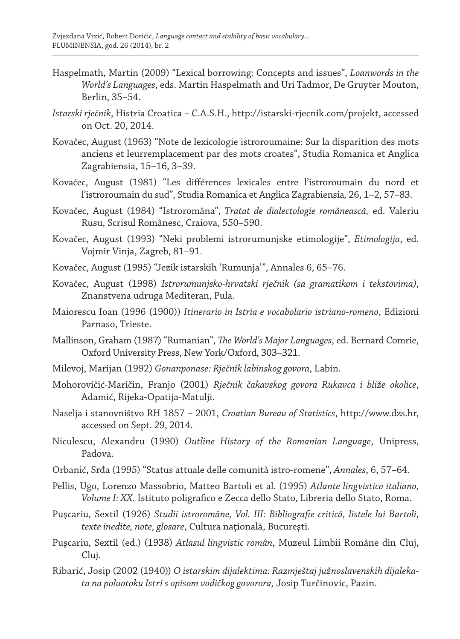- Haspelmath, Martin (2009) "Lexical borrowing: Concepts and issues", *Loanwords in the World's Languages*, eds. Martin Haspelmath and Uri Tadmor, De Gruyter Mouton, Berlin, 35–54.
- *Istarski rječnik*, Histria Croatica C.A.S.H., http://istarski-rjecnik.com/projekt, accessed on Oct. 20, 2014.
- Kovačec, August (1963) "Note de lexicologie istroroumaine: Sur la disparition des mots anciens et leurremplacement par des mots croates", Studia Romanica et Anglica Zagrabiensia, 15–16, 3–39.
- Kovačec, August (1981) "Les différences lexicales entre l'istroroumain du nord et l'istroroumain du sud", Studia Romanica et Anglica Zagrabiensia*,* 26, 1–2, 57–83.
- Kovačec, August (1984) "Istroromâna", *Tratat de dialectologie românească,* ed. Valeriu Rusu, Scrisul Românesc, Craiova, 550–590.
- Kovačec, August (1993) "Neki problemi istrorumunjske etimologije", *Etimologija*, ed. Vojmir Vinja, Zagreb, 81–91.
- Kovačec, August (1995) "Jezik istarskih 'Rumunja'", Annales 6, 65–76.
- Kovačec, August (1998) *Istrorumunjsko-hrvatski rječnik (sa gramatikom i tekstovima)*, Znanstvena udruga Mediteran, Pula.
- Maiorescu Ioan (1996 (1900)) *Itinerario in Istria e vocabolario istriano-romeno*, Edizioni Parnaso, Trieste.
- Mallinson, Graham (1987) "Rumanian", *The World's Major Languages*, ed. Bernard Comrie, Oxford University Press, New York/Oxford, 303–321.
- Milevoj, Marijan (1992) *Gonanponase: Rječnik labinskog govora*, Labin.
- Mohorovičić-Maričin, Franjo (2001) *Rječnik čakavskog govora Rukavca i bliže okolice*, Adamić, Rijeka-Opatija-Matulji.
- Naselja i stanovništvo RH 1857 2001, *Croatian Bureau of Statistics*, http://www.dzs.hr, accessed on Sept. 29, 2014.
- Niculescu, Alexandru (1990) *Outline History of the Romanian Language*, Unipress, Padova.
- Orbanić, Srđa (1995) "Status attuale delle comunità istro-romene", *Annales*, 6, 57–64.
- Pellis, Ugo, Lorenzo Massobrio, Matteo Bartoli et al. (1995) *Atlante lingvistico italiano, Volume I: XX.* Istituto poligrafico e Zecca dello Stato, Libreria dello Stato, Roma.
- Puşcariu, Sextil (1926) *Studii istroromâne, Vol. III: Bibliografie critică, listele lui Bartoli, texte inedite, note, glosare*, Cultura naţională, Bucureşti.
- Puşcariu, Sextil (ed.) (1938) *Atlasul lingvistic român*, Muzeul Limbii Române din Cluj, Cluj.
- Ribarić, Josip (2002 (1940)) *O istarskim dijalektima: Razmještaj južnoslavenskih dijalekata na poluotoku Istri s opisom vodičkog govorora,* Josip Turčinovic, Pazin.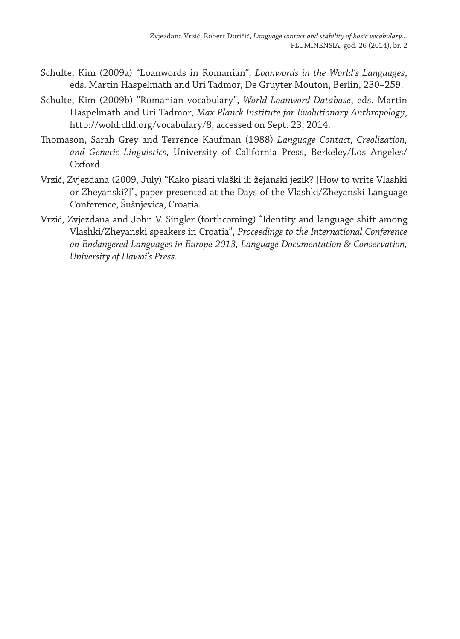- Schulte, Kim (2009a) "Loanwords in Romanian", *Loanwords in the World's Languages*, eds. Martin Haspelmath and Uri Tadmor, De Gruyter Mouton, Berlin, 230–259.
- Schulte, Kim (2009b) "Romanian vocabulary", *World Loanword Database*, eds. Martin Haspelmath and Uri Tadmor, *Max Planck Institute for Evolutionary Anthropology*, http://wold.clld.org/vocabulary/8, accessed on Sept. 23, 2014.
- Thomason, Sarah Grey and Terrence Kaufman (1988) *Language Contact, Creolization, and Genetic Linguistics*, University of California Press, Berkeley/Los Angeles/ Oxford.
- Vrzić, Zvjezdana (2009, July) "Kako pisati vlaški ili žejanski jezik? [How to write Vlashki or Zheyanski?]", paper presented at the Days of the Vlashki/Zheyanski Language Conference, Šušnjevica, Croatia.
- Vrzić, Zvjezdana and John V. Singler (forthcoming) "Identity and language shift among Vlashki/Zheyanski speakers in Croatia", *Proceedings to the International Conference on Endangered Languages in Europe 2013, Language Documentation & Conservation, University of Hawai's Press.*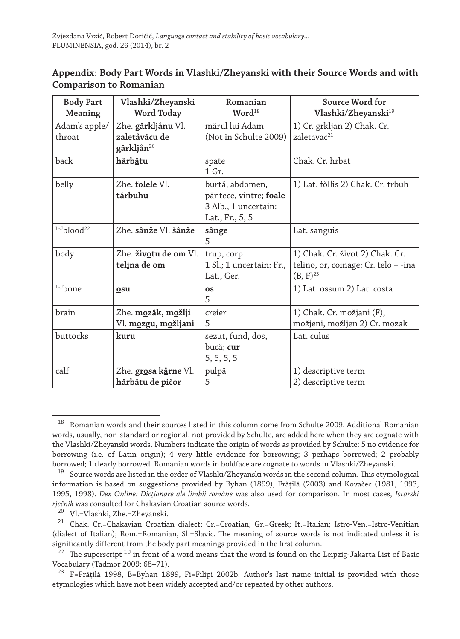## **Appendix: Body Part Words in Vlashki/Zheyanski with their Source Words and with Comparison to Romanian**

| <b>Body Part</b><br>Meaning | Vlashki/Zheyanski<br><b>Word Today</b>                        | Romanian<br>Word <sup>18</sup>                                                       | Source Word for<br>Vlashki/Zheyanski <sup>19</sup>                                              |
|-----------------------------|---------------------------------------------------------------|--------------------------------------------------------------------------------------|-------------------------------------------------------------------------------------------------|
| Adam's apple/<br>throat     | Zhe. gârkljånu Vl.<br>zaletåvâcu de<br>gârkljån <sup>20</sup> | mărul lui Adam<br>(Not in Schulte 2009)                                              | 1) Cr. grkljan 2) Chak. Cr.<br>zaletavac <sup>21</sup>                                          |
| back                        | hârbâtu                                                       | spate<br>1 Gr.                                                                       | Chak. Cr. hrbat                                                                                 |
| belly                       | Zhe. folele Vl.<br>târbuhu                                    | burtă, abdomen,<br>pântece, vintre; foale<br>3 Alb., 1 uncertain:<br>Lat., Fr., 5, 5 | 1) Lat. fŏllis 2) Chak. Cr. trbuh                                                               |
| $L-Jh$ lood <sup>22</sup>   | Zhe. sânže Vl. šânže                                          | sânge<br>5                                                                           | Lat. sanguis                                                                                    |
| body                        | Zhe. životu de om Vl.<br>telina de om                         | trup, corp<br>1 Sl.; 1 uncertain: Fr.,<br>Lat., Ger.                                 | 1) Chak. Cr. život 2) Chak. Cr.<br>telino, or, coinage: Cr. telo + -ina<br>(B, F) <sup>23</sup> |
| L-J <sub>bone</sub>         | osu                                                           | <b>OS</b><br>5                                                                       | 1) Lat. ossum 2) Lat. costa                                                                     |
| brain                       | Zhe. mozâk, možlji<br>Vl. m <u>o</u> zgu, m <u>o</u> žljani   | creier<br>5                                                                          | 1) Chak. Cr. možjani (F),<br>možjeni, možljen 2) Cr. mozak                                      |
| buttocks                    | kuru                                                          | sezut, fund, dos,<br>bucă; cur<br>5, 5, 5, 5                                         | Lat. culus                                                                                      |
| calf                        | Zhe. grosa kårne Vl.<br>hârbâtu de pičor                      | pulpă<br>5                                                                           | 1) descriptive term<br>2) descriptive term                                                      |

<sup>&</sup>lt;sup>18</sup> Romanian words and their sources listed in this column come from Schulte 2009. Additional Romanian words, usually, non-standard or regional, not provided by Schulte, are added here when they are cognate with the Vlashki/Zheyanski words. Numbers indicate the origin of words as provided by Schulte: 5 no evidence for borrowing (i.e. of Latin origin); 4 very little evidence for borrowing; 3 perhaps borrowed; 2 probably borrowed; 1 clearly borrowed. Romanian words in boldface are cognate to words in Vlashki/Zheyanski.

<sup>&</sup>lt;sup>19</sup> Source words are listed in the order of Vlashki/Zheyanski words in the second column. This etymological information is based on suggestions provided by Byhan (1899), Frăţilă (2003) and Kovačec (1981, 1993, 1995, 1998). *Dex Online: Dicţionare ale limbii române* was also used for comparison. In most cases, *Istarski rječnik* was consulted for Chakavian Croatian source words.

<sup>20</sup> Vl.=Vlashki, Zhe.=Zheyanski.

<sup>21</sup> Chak. Cr.=Chakavian Croatian dialect; Cr.=Croatian; Gr.=Greek; It.=Italian; Istro-Ven.=Istro-Venitian (dialect of Italian); Rom.=Romanian, Sl.=Slavic. The meaning of source words is not indicated unless it is significantly different from the body part meanings provided in the first column.

 $22$  The superscript  $L-J$  in front of a word means that the word is found on the Leipzig-Jakarta List of Basic Vocabulary (Tadmor 2009: 68–71).

<sup>&</sup>lt;sup>23</sup> F=Frățilă 1998, B=Byhan 1899, Fi=Filipi 2002b. Author's last name initial is provided with those etymologies which have not been widely accepted and/or repeated by other authors.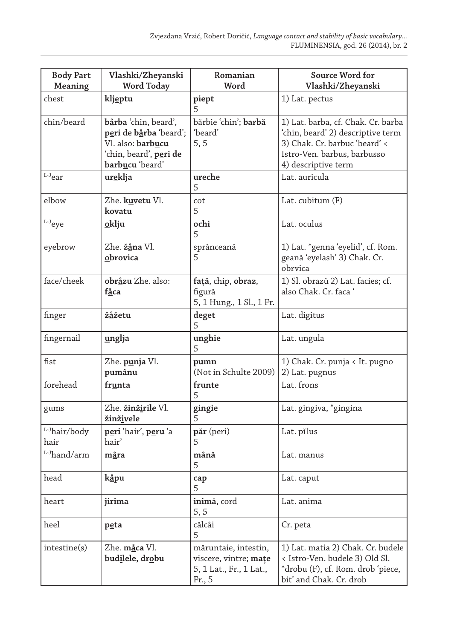| <b>Body Part</b><br>Meaning | Vlashki/Zheyanski<br>Word Today                                                                                                              | Romanian<br>Word                                                                   | Source Word for<br>Vlashki/Zheyanski                                                                                                                           |
|-----------------------------|----------------------------------------------------------------------------------------------------------------------------------------------|------------------------------------------------------------------------------------|----------------------------------------------------------------------------------------------------------------------------------------------------------------|
| chest                       | klj <u>e</u> ptu                                                                                                                             | piept<br>5                                                                         | 1) Lat. pectus                                                                                                                                                 |
| chin/beard                  | <b>b<u>å</u>rba</b> 'chin, beard',<br>peri de bårba 'beard';<br>Vl. also: <b>barbucu</b><br>ʻchin, beard', <b>peri de</b><br>barbucu 'beard' | bărbie 'chin'; <b>barbă</b><br>'beard'<br>5, 5                                     | 1) Lat. barba, cf. Chak. Cr. barba<br>'chin, beard' 2) descriptive term<br>3) Chak. Cr. barbuc 'beard' <<br>Istro-Ven. barbus, barbusso<br>4) descriptive term |
| $L-J$ ear                   | ur <u>e</u> klja                                                                                                                             | ureche<br>5                                                                        | Lat. auricula                                                                                                                                                  |
| elbow                       | Zhe. kuvetu Vl.<br>kovatu                                                                                                                    | cot<br>5                                                                           | Lat. cubitum (F)                                                                                                                                               |
| L-J <sub>eye</sub>          | oklju                                                                                                                                        | ochi<br>5                                                                          | Lat. oculus                                                                                                                                                    |
| eyebrow                     | Zhe. <b>žåna</b> Vl.<br>obrovica                                                                                                             | sprânceană<br>5                                                                    | 1) Lat. *genna 'eyelid', cf. Rom.<br>geană 'eyelash' 3) Chak. Cr.<br>obrvica                                                                                   |
| face/cheek                  | obråzu Zhe. also:<br>fåca                                                                                                                    | față, chip, obraz,<br>figură<br>5, 1 Hung., 1 Sl., 1 Fr.                           | 1) Sl. obrazŭ 2) Lat. facies; cf.<br>also Chak. Cr. faca '                                                                                                     |
| finger                      | žåžetu                                                                                                                                       | deget<br>5                                                                         | Lat. digitus                                                                                                                                                   |
| fingernail                  | unglja                                                                                                                                       | unghie<br>5                                                                        | Lat. ungula                                                                                                                                                    |
| fist                        | Zhe. <b>p<u>u</u>nja</b> Vl.<br>p <u>u</u> mânu                                                                                              | pumn<br>(Not in Schulte 2009)                                                      | 1) Chak. Cr. punja < It. pugno<br>2) Lat. pugnus                                                                                                               |
| forehead                    | frunta                                                                                                                                       | frunte<br>5                                                                        | Lat. frons                                                                                                                                                     |
| gums                        | Zhe. žinžirile Vl.<br>žinživele                                                                                                              | gingie                                                                             | Lat. gingiva, *gingina                                                                                                                                         |
| L-Jhair/body<br>hair        | peri 'hair', peru 'a<br>hair'                                                                                                                | păr (peri)<br>5                                                                    | Lat. pĭlus                                                                                                                                                     |
| L-Jhand/arm                 | mâra                                                                                                                                         | mână<br>5                                                                          | Lat. manus                                                                                                                                                     |
| head                        | k <u>å</u> pu                                                                                                                                | cap<br>5                                                                           | Lat. caput                                                                                                                                                     |
| heart                       | j <u>i</u> rima                                                                                                                              | inimă, cord<br>5, 5                                                                | Lat. anima                                                                                                                                                     |
| heel                        | <u>pe</u> ta                                                                                                                                 | călcâi<br>5                                                                        | Cr. peta                                                                                                                                                       |
| intestine(s)                | Zhe. måca Vl.<br>bud <u>i</u> lele, dr <u>o</u> bu                                                                                           | măruntaie, intestin,<br>viscere, vintre; mațe<br>5, 1 Lat., Fr., 1 Lat.,<br>Fr., 5 | 1) Lat. matia 2) Chak. Cr. budele<br>< Istro-Ven. budele 3) Old Sl.<br>*drobu (F), cf. Rom. drob 'piece,<br>bit' and Chak. Cr. drob                            |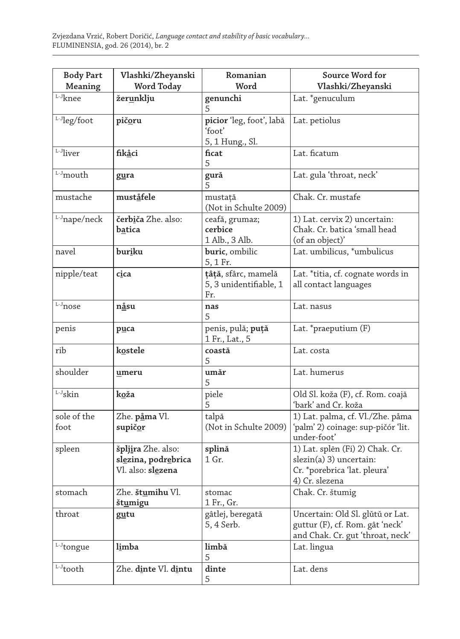| <b>Body Part</b><br>Meaning             | Vlashki/Zheyanski<br>Word Today                                       | Romanian<br>Word                                      | Source Word for<br>Vlashki/Zheyanski                                                                         |
|-----------------------------------------|-----------------------------------------------------------------------|-------------------------------------------------------|--------------------------------------------------------------------------------------------------------------|
| $^{\mathrm{L}\text{-} \mathrm{J}}$ knee | žerunklju                                                             | genunchi                                              | Lat. *genuculum                                                                                              |
| L-Jleg/foot                             | pičoru                                                                | picior 'leg, foot', labă<br>'foot'<br>5, 1 Hung., Sl. | Lat. petiolus                                                                                                |
| L-Jliver                                | fikåci                                                                | ficat<br>5                                            | Lat. ficatum                                                                                                 |
| L-J <sub>mouth</sub>                    | gura                                                                  | gură<br>5                                             | Lat. gula 'throat, neck'                                                                                     |
| mustache                                | muståfele                                                             | mustață<br>(Not in Schulte 2009)                      | Chak. Cr. mustafe                                                                                            |
| L-J <sub>nape/neck</sub>                | čerbiča Zhe. also:<br>batica                                          | ceafă, grumaz;<br>cerbice<br>1 Alb., 3 Alb.           | 1) Lat. cervix 2) uncertain:<br>Chak. Cr. batica 'small head<br>(of an object)'                              |
| navel                                   | buriku                                                                | buric, ombilic<br>5, 1 Fr.                            | Lat. umbilicus, *umbulicus                                                                                   |
| nipple/teat                             | cica                                                                  | țâță, sfârc, mamelă<br>5, 3 unidentifiable, 1<br>Fr.  | Lat. *titia, cf. cognate words in<br>all contact languages                                                   |
| $^{\mathrm{L}\text{-} \mathrm{J}}$ nose | nåsu                                                                  | nas<br>5                                              | Lat. nasus                                                                                                   |
| penis                                   | p <u>u</u> ca                                                         | penis, pulă; puță<br>1 Fr., Lat., 5                   | Lat. *praeputium (F)                                                                                         |
| rib                                     | kostele                                                               | coastă<br>5                                           | Lat. costa                                                                                                   |
| shoulder                                | umeru                                                                 | umăr<br>5                                             | Lat. humerus                                                                                                 |
| L-J <sub>skin</sub>                     | koža                                                                  | piele<br>5                                            | Old Sl. koža (F), cf. Rom. coajă<br>'bark' and Cr. koža                                                      |
| sole of the<br>foot                     | Zhe. påma Vl.<br>supičor                                              | talpă<br>(Not in Schulte 2009)                        | 1) Lat. palma, cf. Vl./Zhe. påma<br>'palm' 2) coinage: sup-pičór 'lit.<br>under-foot'                        |
| spleen                                  | špljira Zhe. also:<br>slezina, podrebrica<br>Vl. also: <b>slezena</b> | splină<br>1 Gr.                                       | 1) Lat. splēn (Fi) 2) Chak. Cr.<br>slezin(a) 3) uncertain:<br>Cr. *porebrica 'lat. pleura'<br>4) Cr. slezena |
| stomach                                 | Zhe. štumihu Vl.<br>št <u>u</u> migu                                  | stomac<br>1 Fr., Gr.                                  | Chak. Cr. štumig                                                                                             |
| throat                                  | gutu                                                                  | gâtlej, beregată<br>5, 4 Serb.                        | Uncertain: Old Sl. glǔtǔ or Lat.<br>guttur (F), cf. Rom. gât 'neck'<br>and Chak. Cr. gut 'throat, neck'      |
| L-J <sub>tongue</sub>                   | limba                                                                 | limbă<br>5                                            | Lat. lingua                                                                                                  |
| $^{\mathrm{L}\text{-}\mathrm{J}}$ tooth | Zhe. dinte Vl. dintu                                                  | dinte<br>5                                            | Lat. dens                                                                                                    |